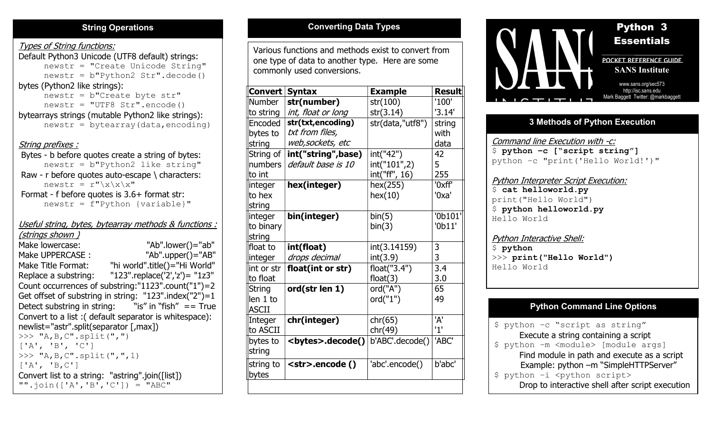# Types of String functions:

Default Python3 Unicode (UTF8 default) strings: newstr = "Create Unicode String" newstr = b"Python2 Str".decode() bytes (Python2 like strings): newstr = b"Create byte str" newstr = "UTF8 Str".encode() bytearrays strings (mutable Python2 like strings):  $newstr = bytearray(data, encoding)$ String prefixes : Bytes - b before quotes create a string of bytes: newstr = b"Python2 like string" Raw - r before quotes auto-escape \ characters: newstr =  $r''\xx\x\x''$  Format - f before quotes is 3.6+ format str: newstr = f"Python {variable}"

# Useful string, bytes, bytearray methods & functions :

(strings shown ) Make lowercase: "Ab".lower()="ab" Make UPPERCASE : "Ab".upper()="AB" Make Title Format: "hi world".title()="Hi World" Replace a substring: "123".replace('2','z')= "1z3" Count occurrences of substring:"1123".count("1")=2 Get offset of substring in string: "123".index("2")=1 Detect substring in string: "is" in "fish"  $==$  True Convert to a list :( default separator is whitespace): newlist="astr".split(separator [,max])  $>>$  "A, B, C". split(",")  $['A', 'B', 'C']$ >>> "A,B,C".split(",",1)  $['A', 'B,C']$ Convert list to a string: "astring".join([list])  $" "'.join(['A', 'B', 'C']) = "ABC"$ 

ABC

Various functions and methods exist to convert from one type of data to another type. Here are some commonly used conversions.

| Convert       | <b>Syntax</b>            | <b>Example</b>   | <b>Result</b> |
|---------------|--------------------------|------------------|---------------|
| <b>Number</b> | str(number)              | str(100)         | '100'         |
| to string     | int, float or long       | str(3.14)        | '3.14'        |
| Encoded       | str(txt,encoding)        | str(data,"utf8") | string        |
| bytes to      | txt from files,          |                  | with          |
| string        | web,sockets, etc         |                  | data          |
| String of     | int("string", base)      | int("42")        | 42            |
| numbers       | default base is 10       | int("101",2)     | 5             |
| to int        |                          | int("ff", 16)    | 255           |
| integer       | hex(integer)             | hex(255)         | '0xff'        |
| to hex        |                          | hex(10)          | '0xa'         |
| string        |                          |                  |               |
| integer       | bin(integer)             | bin(5)           | '0b101        |
| to binary     |                          | bin(3)           | '0b11'        |
| string        |                          |                  |               |
| lfloat to     | int(float)               | int(3.14159)     | 3             |
| integer       | drops decimal            | int(3.9)         | 3             |
| int or str    | float(int or str)        | float("3.4")     | 3.4           |
| to float      |                          | float(3)         | 3.0           |
| <b>String</b> | ord(str len 1)           | ord("A")         | 65            |
| len 1 to      |                          | ord("1")         | 49            |
| <b>ASCII</b>  |                          |                  |               |
| Integer       | chr(integer)             | chr(65)          | 'A'           |
| to ASCII      |                          | chr(49)          | '1'           |
| bytes to      | <bytes>.decode()</bytes> | b'ABC'.decode()  | 'ABC'         |
| string        |                          |                  |               |
| string to     | <str>.encode()</str>     | 'abc'.encode()   | b'abc'        |
| bytes         |                          |                  |               |
|               |                          |                  |               |



# 3 Methods of Python Execution

Command line Execution with -c:  $$$  python -c ["script string"] python –c "print('Hello World!')"

# Python Interpreter Script Execution: \$ cat helloworld.py print("Hello World") \$ python helloworld.py Hello World

#### Python Interactive Shell: \$ python >>> print("Hello World") Hello World

# Python Command Line Options

\$ python –c "script as string" Execute a string containing a script \$ python –m <module> [module args] Find module in path and execute as a script Example: python –m "SimpleHTTPServer" \$ python -i <python script> Drop to interactive shell after script execution